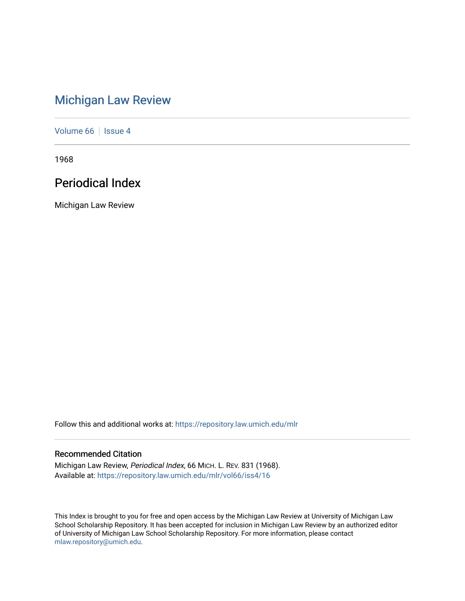# [Michigan Law Review](https://repository.law.umich.edu/mlr)

[Volume 66](https://repository.law.umich.edu/mlr/vol66) | [Issue 4](https://repository.law.umich.edu/mlr/vol66/iss4)

1968

# Periodical Index

Michigan Law Review

Follow this and additional works at: [https://repository.law.umich.edu/mlr](https://repository.law.umich.edu/mlr?utm_source=repository.law.umich.edu%2Fmlr%2Fvol66%2Fiss4%2F16&utm_medium=PDF&utm_campaign=PDFCoverPages) 

# Recommended Citation

Michigan Law Review, Periodical Index, 66 MICH. L. REV. 831 (1968). Available at: [https://repository.law.umich.edu/mlr/vol66/iss4/16](https://repository.law.umich.edu/mlr/vol66/iss4/16?utm_source=repository.law.umich.edu%2Fmlr%2Fvol66%2Fiss4%2F16&utm_medium=PDF&utm_campaign=PDFCoverPages) 

This Index is brought to you for free and open access by the Michigan Law Review at University of Michigan Law School Scholarship Repository. It has been accepted for inclusion in Michigan Law Review by an authorized editor of University of Michigan Law School Scholarship Repository. For more information, please contact [mlaw.repository@umich.edu.](mailto:mlaw.repository@umich.edu)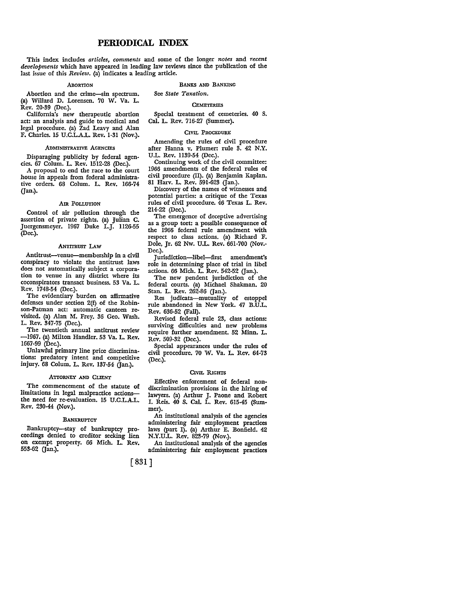# **PERIODICAL INDEX**

This index includes *articles, comments* and some of the longer *notes* and *recent developments* which have appeared in leading law reviews since the publication of the last issue of this *Review.* (a) indicates a leading article.

#### ABORTION

Abortion and the crime-sin spectrum. (a) Willard D. Lorensen. 70 W. Va. L. Rev. 20-39 (Dec.).

California's new therapeutic abortion act: an analysis and guide to medical and legal procedure. (a) Zad Leavy and Alan F. Charles. 15 U.C.L.A.L. Rev. 1-31 (Nov.).

#### ADMINISTRATIVE AGENCIES

Disparaging publicity by federal agen• cies. 67 Colum. L. Rev. 1512-28 (Dec.).

A proposal to end the race to the court house in appeals from federal administrative orders. 68 Colum. L. Rev. 166-74 (Jan.).

#### Am POLLUTION

Control of air pollution through the assertion of private rights. (a) Julian C. Juergensmeyer. 1967 Duke L.J. 1126-55 (Dec.).

### ANTITRUsr LAW

Antitrust-venue-membership in a civil conspiracy to violate the antitrust laws does not automatically subject a corporation to venue in any district where its coconspirators transact business. 53 Va. L. Rev. 1748-54 (Dec.).

The evidentiary burden on affirmative defenses under section 2(£) of the Robinson-Patman act: automatic canteen revisited. (a) Alan M. Frey. 36 Geo. Wash. L. Rev. 347-75 (Dec.).

The twentieth annual antitrust review -1967. (a) Milton Handler. 53 Va. L. Rev. 1667-99 (Dec.).

Unlawful primary line price discriminations: predatory intent and competitive injury. 68 Colum. L. Rev. 137-54 (Jan.).

#### ATTORNEY AND CLIENT

The commencement of the statute of limitations in legal malpractice actionsthe need for re-evaluation. 15 U.C.L.A.L. Rev. 230-44 (Nov.).

#### BANKRUPTCY

Bankruptcy-stay of bankruptcy proceedings denied to creditor seeking lien on exempt property. 66 Mich. L. Rev. 553-62 Gan.).

BANKS AND BANKING

See *State Taxation.* 

#### **CEMETERIES**

Special treatment of cemeteries. 40 S. Cal. L. Rev. 716-27 (Summer).

#### CIVIL PROCEDURE

Amending the rules of civil procedure after Hanna v. Plumer: rule 3. 42 N.Y. U.L. Rev. 1139-54 (Dec.).

Continuing work of the civil committee: 1966 amendments of the federal rules of civil procedure (II). (a) Benjamin Kaplan. 81 Harv. L. Rev. 591-623 (Jan.).

Discovery of the names of witnesses and potential parties: a critique of the Texas rules of civil procedure. 46 Texas L. Rev. 214-22 (Dec.).

The emergence of deceptive advertising as a group tort: a possible consequence of the 1966 federal rule amendment with respect to class actions. (a) Richard F. Dole, Jr. 62 Nw. U.L. Rev. 661-700 (Nov.- Dec.).

Jurisdiction-libel-first amendment's role in determining place of trial in libel actions. 66 Mich. L. Rev.  $542-52$  (Jan.).

The new pendent jurisdiction of the federal courts. (a) Michael Shakman. 20 Stan. L. Rev. 262-86 (Jan.).

Res judicata-mutuality of estoppel rule abandoned in New York. 47 B.U.L. Rev. 636-52 (Fall).

Revised federal rule 23, class actions: surviving difficulties and new problems require further amendment. 52 Minn. L. Rev. 509-32 (Dec.).

Special appearances under the rules of civil procedure. 70 W. Va. L. Rev. 64-73 (Dec.).

#### CIVIL RIGHTS

Effective enforcement of federal nondiscrimination provisions in the hiring of lawyers. (a) Arthur J. Paone and Robert I. Reis. 40 S. Cal. L. Rev. 615-45 (Summer).

An institutional analysis of the agencies administering fair employment practices laws (part I). (a) Arthur E. Bonfield. 42 N.Y.UL. Rev. 823-79 (Nov.).

An institutional analysis of the agencies administering fair employment practices

# [ 831]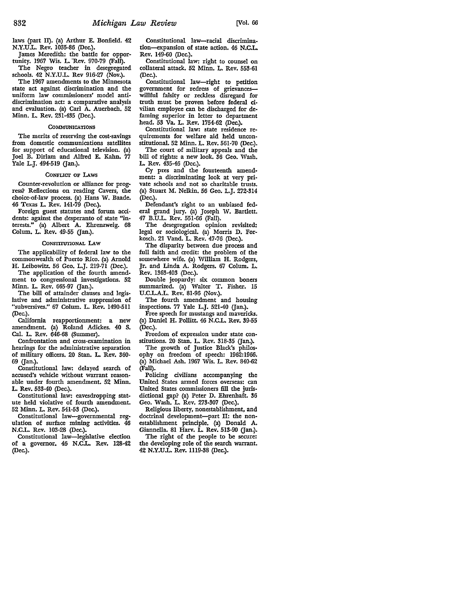laws (part II). (a) Arthur E. Bonfield. 42 N.Y.U.L. Rev. 1035-86 (Dec.).

James Meredith: the battle for opportunity. 1967 Wis. L. "Rev. 970-79 (Fall).

The Negro teacher in desegregated schools. 42 N.Y.U.L. Rev 916-27 (Nov.).

The 1967 amendments to the Minnesota state act against discrimination and the uniform law commissioners' model antidiscrimination act: a comparative analysis and evaluation. (a) Carl A. Auerbach. 52 Minn. L. Rev. 231-435 (Dec.).

## **COMMUNICATIONS**

The merits of reserving the cost-savings from domestic communications satellites for support of educational television. (a) Joel B. Dirlam and Alfred E. Kahn. 77 Yale L.J. 494-519 (Jan.).

# CONFLicr OF LAws

Counter-revolution or alliance for progress? Reflections on reading Cavers, the choice-of-law process. (a) Hans W. Baade. 46 Texas L. Rev. 141-79 (Dec.).

Foreign guest statutes and forum accidents: against the desperanto of state "in• terests." (a) Albert A. Ehrenzweig. 68 Colum. L. Rev. 49-55 (Jan.).

#### CONSTITUTIONAL LAW

The applicability of federal law to the commonwealth of Puerto Rico. (a) Arnold H. Leibowitz. 56 Geo. L.J. 219-71 (Dec.).

The application of the fourth amendment to congressional investigations. 52 Minn. L. Rev. 665-97 (Jan.).

The bill of attainder clauses and legislative and administrative suppression of "subversives." 67 Colum. L. Rev. 1490-511 (Dec.).

California reapportionment: a new amendment. (a) Roland Adickes. 40 S. Cal. L. Rev. 646-68 (Summer).

Confrontation and cross-examination in hearings for the administrative separation of military officers. 20 Stan. L. Rev. 360- 69 Gan.).

Constitutional law: delayed search of accused's vehicle without warrant reasonable under fourth amendment. 52 Minn. L. Rev. 533-40 (Dec.).

Constitutional law: eavesdropping statute held violative of fourth amendment. 52 Minn. L. Rev. 541-53 (Dec.).

Constitutional law-governmental regulation of surface mining activities. 46 N.C.L. Rev. 103-28 (Dec.).

Constitutional law-legislative election of a governor. 46 N.CL. Rev. 128-42 (Dec.).

Constitutional law-racial discrimination-expansion of state action. 46 N.C.L Rev. 149-60 (Dec.).

Constitutional law: right to counsel on collateral attack. 52 Minn. L. Rev. 553-61 (Dec.).

Constitutional law-right to petition government for redress of grievanceswillful falsity or reckless disregard for truth must be proven before federal civilian employee can be discharged for defaming superior in letter to department head. 53 Va. L. Rev. 1754-62 (Dec.).

Constitutional law: state residence requirements for welfare aid held unconstitutional. 52 Minn. L. Rev. 561-70 (Dec.).

The court of military appeals and the bill of rights: a new look. 36 Geo. Wash. L. Rev. 435-46 (Dec.).

Cy pres and the fourteenth amendment: a discriminating look at very private schools and not so charitable trusts. (a) Stuart M. Nelkin. 56 Geo. L.J. 272-314 (Dec.).

Defendant's right to an unbiased federal grand jury. (a) Joseph W. Bartlett. 47 B.U.L. Rev. 551-66 (Fall).

The desegregation opinion revisited: legal or sociological. (a) Morris D. Forkosch. 21 Vand. L. Rev. 47-76 (Dec.).

The disparity between due process and full faith and credit: the problem of the somewhere wife. (a) William H. Rodgers, Jr. and Linda A. Rodgers. 67 Colum. L. Rev. 1363-403 (Dec.).

Double jeopardy: six common boners summarized. (a) Walter T. Fisher. 15 U.C.L.A.L. Rev. 81-96 (Nov.).

The fourth amendment and housing inspections. 77 Yale L.J. 521-40 (Jan.).

Free speech for mustangs and mavericks. (a) Daniel H. Pollitt. 46 N.C.L. Rev. 39-55 (Dec.).

Freedom of expression under state constitutions. 20 Stan. L. Rev. 318-35 (Jan.).

The growth of Justice Black's philosophy on freedom of speech: 1962:1966. (a) Michael Ash. 1967 Wis. L. Rev. 840-62 (Fall).

Policing civilians accompanying the United States armed forces overseas: can United States commissioners fill the jurisdictional gap? (a) Peter D. Ehrenhaft. 36 Geo. Wash. L. Rev. 273-307 (Dec.).

Religious liberty, nonestablishment, and doctrinal development-part II: the nonestablishment principle. (a) Donald A. Giannella. 81 Harv. L **Rev.** 513-90 Gan,).

The right of the people to be secure: the developing role of the search warrant. 42 N.Y.UL. Rev. 1119-38 (Dec.).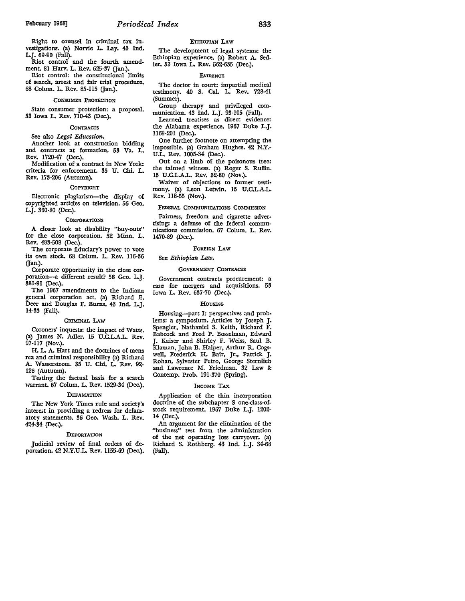Right to counsel in criminal tax investigations. (a) Norvie L. Lay. 43 Ind. L.J. 69-90 (Fall).

Riot control and the fourth amendment. 81 Harv. L. Rev. 625-37 (Jan.).

Riot control: the constitutional limits of search, arrest and fair trial procedure. 68 Colum. L. Rev. 85-115 Gan.).

#### CONSUMER PROTECTION

State consumer protection: a proposal. 53 Iowa L. Rev. 710-43 (Dec.).

#### **CONTRACTS**

See also *Legal Education.* 

Another look at construction bidding and contracts at formation. 53 Va. L. Rev. 1720-47 (Dec.).

Modification of a contract in New York: criteria for enforcement. 35 U. Chi. L. Rev. 173-206 (Autumn).

## **COPYRIGHT**

Electronic plagiarism-the display of copyrighted articles on television. 56 Geo. L.J. 360-80 (Dec.).

#### **CORPORATIONS**

A closer look at disability "buy-outs" for the close corporation. 52 Minn. L. Rev. 483-508 (Dec.).

The corporate fiduciary's power to vote its own stock. 68 Colum. L. Rev. 116-36 Gan.).

Corporate opportunity in the close corporation-a different result? 56 Geo. L.J. 381-91 (Dec.).

The 1967 amendments to the Indiana general corporation act. (a) Richard E. Deer and Douglas F. Burns, 43 Ind. L.J. l 4-33 (Fall).

#### **CRIMINAL LAW**

Coroners' inquests: the impact of Watts. (a) James N. Adler. 15 U.C.L.A.L. Rev. 97-117 (Nov.).

H. L. A. Hart and the doctrines of mens rea and criminal responsibility (a) Richard A. Wasserstrom. 35 U. Chi. L. Rev. 92- 126 (Autumn).

Testing the factual basis for a search warrant. 67 Colum. L. Rev. 1529-34 (Dec.).

#### **DEFAMATION**

The New York Times rule and society's interest in providing a redress for defamatory statements. 36 Geo. Wash. L. Rev. 424-34 (Dec.).

#### **DEPORTATION**

Judicial review of final orders of deportation. 42 N.Y.U.L. Rev. 1155-69 (Dec.).

#### ETHIOPIAN LAW

The development of legal systems: the Ethiopian experience. (a) Robert A. Sedler. 53 Iowa L. Rev. 562-635 (Dec.).

#### **EVIDENCE**

The doctor in court: impartial medical testimony. 40 S. Cal. L. Rev. 728-41 (Summer).

Group therapy and privileged communication. 43 Ind. L.J. 93-105 (Fall).

Learned treatises as direct evidence: the Alabama experience. 1967 Duke L.J. 1169-201 (Dec.).

One further footnote on attempting the impossible. (a) Graham Hughes. 42 **N.Y.-** U.L. Rev. 1005-34 (Dec.).

Out on a limb of the poisonous tree: the tainted witness. {a) Roger S. Ruffin. 15 U.C.L.A.L. Rev. 32-80 (Nov.).

Waiver of objections to former testimony. (a) Leon Letwin. 15 U.C.L.A.L. Rev. 118-55 (Nov.).

#### FEDERAL COMMUNICATIONS COMMISSION

Fairness, freedom and cigarette advertising: a defense of the federal communications commission. 67 Colum. L. Rev. 1470-89 (Dec.).

#### FOREIGN LAW

# See *Ethiopian Law.*

#### GOVERNMENT CoNTRAcrs

Government contracts procurement: a case for mergers and acquisitions. 53 Iowa L. Rev. 637-70 (Dec.).

#### HOUSING

Housing-part I: perspectives and problems: a symposium. Articles by Joseph J. Spengler, Nathaniel S. Keith, Richard F. Babcock and Fred P. Bosselman, Edward J. Kaiser and Shirley F. Weiss, Saul B. Klaman, John B. Halper, Arthur R. Cogswell, Frederick H. Bair, Jr., Patrick J. Rohan, Sylvester Petro, George Sternlieb and Lawrence M. Friedman. 32 Law &: Contemp. Prob. 191-370 (Spring).

#### INCOME **TAX**

Application of the thin incorporation doctrine of the subchapter S one-class-ofstock requirement. 1967 Duke L.J. 1202- 14 (Dec.).

**An** argument for the elimination of the "business" test from the administration of the net operating loss carryover. (a) Richard S. Rothberg. 43 Ind. L.J. 34-68 (Fall).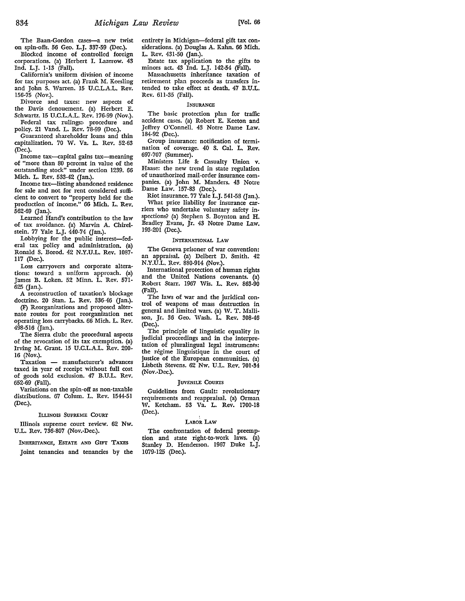The Baan-Gordon cases-a new twist on spin-offs. 56 Geo. L.J. 337-59 (Dec.).

Blocked income of controlled foreign corporations. (a) Herbert I. Lazerow. 43 Ind. L.J. 1-13 (Fall).

California's uniform division of income for tax purposes act. (a) Frank M. Keesling and John S. Warren. 15 U.C.L.A.L. Rev. 156-75 (Nov.).

Divorce and taxes: new aspects of the Davis denouement. (a) Herbert E. Schwartz. 15 U.C.L.A.L. Rev. 176-99 (Nov.).

Federal tax rulings:, procedure and policy. 21 Vand. L. Rev. 78-99 (Dec.). Guaranteed shareholder loans and thin

capitalization. 70 W. Va. L. Rev. 52-63 (Dec.).

Income tax-capital gains tax-meaning of "more than 80 percent in value of the outstanding stock" under section 1239. 66 Mich. L. Rev. 533-42 (Jan.).

Income tax-listing abandoned residence for sale and not for rent considered sufficient to convert to "property held for the production of income." 66 Mich. L. Rev. 562-69 (Jan.).

Learned Hand's contribution to the law of tax avoidance. (a) Marvin A. Chirelstein. 77 Yale L.J. 440-74 (Jan.).

Lobbying for the public interest-federal tax policy and administration. (a) Ronald S. Bored. 42 N.Y.U.L. Rev. 1087- 117 (Dec.).

Loss carryovers and corporate alterations: toward a uniform approach. (a) James B. Loken. 52 Minn. L. Rev. 571- 625 (Jan.).

A reconstruction of taxation's blockage doctrine. 20 Stan. L. Rev. 336-46 (Jan.).

(F) Reorganizations and proposed alternate routes for post reorganization net operating loss carrybacks. 66 Mich. L. Rev. 498-516 (Jan.).

The Sierra club: the procedural aspects of the revocation of its tax exemption. (a) Irving M. Grant. 15 U.C.L.A.L. Rev. 200- 16 (Nov.).

Taxation - manufacturer's advances taxed in year of receipt without full cost of goods sold exclusion. 47 B.U.L. Rev. 652-69 (Fall).

Variations on the spin-off as non-taxable distributions. 67 Colum. L. Rev. 1544-51 (Dec.).

#### ILUNOIS SUPREME COURT

Illinois supreme court review. 62 **Nw.**  U.L. Rev. 736-807 (Nov.-Dec.).

INHERITANCE, EsTATE AND GIFT TAXES

Joint tenancies and tenancies by the

entirety in Michigan-federal gift tax considerations. (a) Douglas A. Kahn. 66 Mich. L. Rev. 431-50 (Jan.).

Estate tax application to the gifts to minors act. 43 Ind. L.J. 142-54 (Fall).

Massachusetts inheritance taxation of retirement plan proceeds as transfers intended to take effect at death. 47 B.U.L. Rev. 6ll-35 (Fall).

## INSURANCE

The basic protection plan for traffic accident cases. (a) Robert E. Keeton and Jeffrey O'Connell. 43 Notre Dame Law. 184-92 (Dec.).

Group insurance: notification of termination of coverage. 40 S. Cal. L. Rev. 697-707 (Summer).

Ministers Life & Casualty Union v. Haase: the new trend in state regulation of unauthorized mail-order insutance companies. (a) John M. Manders. 43 Notre Dame Law. 157-83 (Dec.).

Riot insurance. 77 Yale L.J. 541-58 (Jan.). What price liability for insurance car-

riers who undertake voluntary safety inspections? (a) Stephen S. Boynton and **H.**  Bradley Evans, Jr. 43 Notre Dame Law. 193-201 (Dec.).

# INTERNATIONAL LAW

The Geneva prisoner of war convention: an appraisal. (a) Delbert D. Smith. 42 N.Y.U.L. Rev. 880-914 (Nov.).

International protection of human rights and the United Nations covenants. (a) Robert Starr. 1967 Wis. L. Rev. 863-90 (Fall).

The laws of war and the juridical control of weapons of mass destruction in general and limited wars. (a) W. T. Mallison, Jr. 36 Geo. Wash. L. Rev. 308-46 (Dec.).

The principle of linguistic equality in judicial proceedings and in the interpretation of pluralingual legal instruments: the regime linguistique in the court of justice of the European communities. (a) Lisbeth Stevens. 62 Nw. U.L. Rev. 701-34 (Nov.-Dec.).

#### JUVENILE COURTS

Guidelines from Gault: revolutionary requirements and reappraisal. (a) Orman W. Ketcham. 53 Va. L. Rev. 1700-18 (Dec.).

## LABOR LAW

The confrontation of federal preemption and state right-to-work laws. (a) Stanley D. Henderson. 1967 Duke L.J. 1079-125 (Dec.).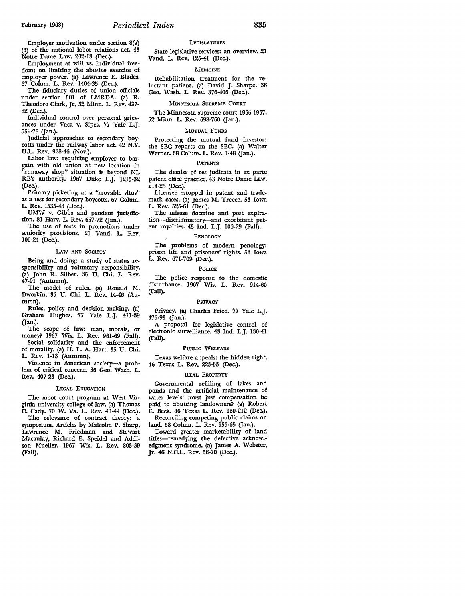Employer motivation under section 8(a) (3) of the national labor relations act. 43 Notre Dame Law. 202-13 (Dec.).

Employment at will vs. individual freedom: on limiting the abusive exercise of employer power. (a) Lawrence E. Blades. 67 Colum. L. Rev. 1404-35 (Dec.).

The fiduciary duties of union officials under section 501 of LMRDA. (a) R. Theodore Clark, Jr. 52 Minn. L. Rev. 437- 82 (Dec.).

Individual control over personal grievances under Vaca v. Sipes. 77 Yale L.J. 559-78 (Jan.).

Judicial approaches to secondary boycotts under the railway labor act. 42 N.Y. U.L. Rev. 928-46 (Nov.).

Labor law: requiring employer to bargain with old union at new location in "runaway shop" situation is beyond NL RB's authority. 1967 Duke L.J. 1215-32 (Dec.).

Primary picketing at a "movable situs" as a test for secondary boycotts. 67 Colum. L. Rev. 1535-43 (Dec.).

UMW v. Gibbs and pendent jurisdiction. 81 Harv. L. Rev. 657-72 (Jan.).

The use of tests in promotions under seniority provisions. 21 Vand. L. Rev. 100-24 (Dec.).

# LAW AND SOCIETY

Deing and doing: a study of status responsibility and voluntary responsibility. (a) John R. Silber. 35 U. Chi. L. Rev. 47-91 (Autumn).

The model of rules. (a) Ronald M. Dworkin. 35 U. Chi. L. Rev. 14-46 (Autumn).

Rules, policy and decision making. (a) Graham Hughes. 77 Yale L.J. 411-39 Gan.).

The scope of law: man, morals, or money? 1967 Wis. L. Rev. 961-69 (Fall). Social solidarity and the enforcement

of morality. (a) H. L. A. Hart. 35 U. Chi. L. Rev. 1-13 (Autumn).

Violence in American society-a problem of critical concern. 36 Geo. Wash. L. Rev. 407-23 (Dec.).

#### LEGAL EDUCATION

The moot court program at West Virginia university college of law. (a) Thomas C. Cady. 70 W. Va. L. Rev. 40-49 (Dec.).

The relevance of contract theory: a symposium. Articles by Malcolm P. Sharp, Lawrence M. Friedman and Stewart Macaulay, Richard E. Speidel and Addison Mueller. 1967 Wis. L. Rev. 803-39 (Fall).

# **LEGISLATURES**

State legislative services: an overview. 21 Vand. L. Rev. 125-41 (Dec.).

#### MEDICINE

Rehabilitation treatment for the reluctant patient. (a) David J. Sharpe. 36 Geo. Wash. L. Rev. 376-406 (Dec.).

#### MINNESOTA SUPREME COURT

The Minnesota supreme court 1966-1967. 52 Minn. L. Rev. 698-760 (Jan.).

#### MUTUAL FUNDS

Protecting the mutual fund investor: the SEC reports on the SEC. (a) Walter Werner. 68 Colum. L. Rev. 1-48 (Jan.).

## PATENTS

The demise of res judicata in ex parte patent office practice. 43 Notre Dame Law. 214-26 (Dec.).

Licensee estoppel in patent and trademark cases. (a) James M. Treece. 53 Iowa L. Rev. 525-61 (Dec.).

The misuse doctrine and post expiration-discriminatory-and exorbitant patent royalties. 43 Ind. L.J. 106-29 (Fall).

#### PENOLOGY

The problems of modern penology: prison life and prisoners' rights. 53 Iowa L. Rev. 671-709 (Dec.).

### POLICE

The police response to the domestic disturbance. 1967 Wis. L. Rev. 914-60 (Fall).

#### PRIVACY

Privacy. (a) Charles Fried. 77 Yale L.J. 475-93 (Jan.).

A proposal for legislative control of electronic surveillance. 43 Ind. L.J. 130-41 (Fall).

# PUBLIC WELFARE

Texas welfare appeals: the hidden right. 46 Texas L. Rev. 223-53 (Dec.).

#### REAL PROPERTY

Governmental refilling of lakes and ponds and the artificial maintenance of water levels: must just compensation be paid to abutting landowners? (a) Robert E. Deck. 46 Texas L. Rev. 180-212 (Dec.). Reconciling competing public claims on

land. 68 Colum. L. Rev. 155-65 (Jan.). Toward greater marketability of land titles-remedying the defective acknowledgment syndrome. (a) James A. Webster, Jr. 46 N.C.L. Rev. 56-70 (Dec.).